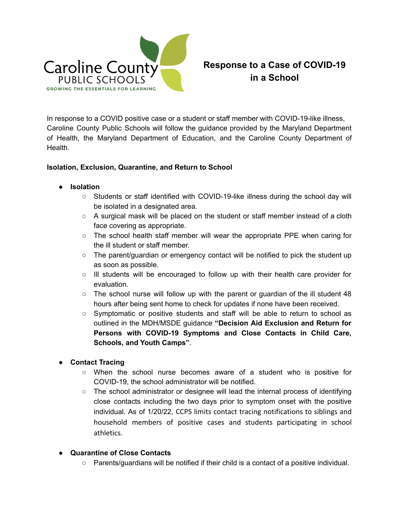

## **Response to a Case of COVID-19 in a School**

In response to a COVID positive case or a student or staff member with COVID-19-like illness, Caroline County Public Schools will follow the guidance provided by the Maryland Department of Health, the Maryland Department of Education, and the Caroline County Department of Health.

## **Isolation, Exclusion, Quarantine, and Return to School**

- **● Isolation**
	- **○** Students or staff identified with COVID-19-like illness during the school day will be isolated in a designated area.
	- $\circ$  A surgical mask will be placed on the student or staff member instead of a cloth face covering as appropriate.
	- The school health staff member will wear the appropriate PPE when caring for the ill student or staff member.
	- $\circ$  The parent/guardian or emergency contact will be notified to pick the student up as soon as possible.
	- Ill students will be encouraged to follow up with their health care provider for evaluation.
	- $\circ$  The school nurse will follow up with the parent or guardian of the ill student 48 hours after being sent home to check for updates if none have been received.
	- Symptomatic or positive students and staff will be able to return to school as outlined in the MDH/MSDE guidance **"Decision Aid Exclusion and Return for Persons with COVID-19 Symptoms and Close Contacts in Child Care, Schools, and Youth Camps"**.
- **● Contact Tracing**
	- When the school nurse becomes aware of a student who is positive for COVID-19, the school administrator will be notified.
	- $\circ$  The school administrator or designee will lead the internal process of identifying close contacts including the two days prior to symptom onset with the positive individual. As of 1/20/22, CCPS limits contact tracing notifications to siblings and household members of positive cases and students participating in school athletics.
- **Quarantine of Close Contacts**
	- Parents/guardians will be notified if their child is a contact of a positive individual.